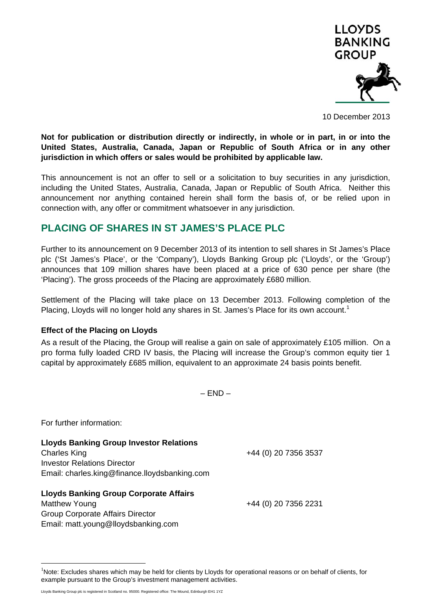

10 December 2013

**Not for publication or distribution directly or indirectly, in whole or in part, in or into the United States, Australia, Canada, Japan or Republic of South Africa or in any other jurisdiction in which offers or sales would be prohibited by applicable law.** 

This announcement is not an offer to sell or a solicitation to buy securities in any jurisdiction, including the United States, Australia, Canada, Japan or Republic of South Africa. Neither this announcement nor anything contained herein shall form the basis of, or be relied upon in connection with, any offer or commitment whatsoever in any jurisdiction.

## **PLACING OF SHARES IN ST JAMES'S PLACE PLC**

Further to its announcement on 9 December 2013 of its intention to sell shares in St James's Place plc ('St James's Place', or the 'Company'), Lloyds Banking Group plc ('Lloyds', or the 'Group') announces that 109 million shares have been placed at a price of 630 pence per share (the 'Placing'). The gross proceeds of the Placing are approximately £680 million.

Settlement of the Placing will take place on 13 December 2013. Following completion of the Placing, Lloyds will no longer hold any shares in St. James's Place for its own account.<sup>1</sup>

## **Effect of the Placing on Lloyds**

As a result of the Placing, the Group will realise a gain on sale of approximately £105 million. On a pro forma fully loaded CRD IV basis, the Placing will increase the Group's common equity tier 1 capital by approximately £685 million, equivalent to an approximate 24 basis points benefit.

 $- FND -$ 

For further information:

 $\overline{a}$ 

| <b>Lloyds Banking Group Investor Relations</b> |                      |
|------------------------------------------------|----------------------|
| <b>Charles King</b>                            | +44 (0) 20 7356 3537 |
| <b>Investor Relations Director</b>             |                      |
| Email: charles.king@finance.lloydsbanking.com  |                      |
| <b>Lloyds Banking Group Corporate Affairs</b>  |                      |
| Matthew Young                                  | +44 (0) 20 7356 2231 |
| <b>Group Corporate Affairs Director</b>        |                      |
| Email: matt.young@lloydsbanking.com            |                      |

<sup>&</sup>lt;sup>1</sup>Note: Excludes shares which may be held for clients by Lloyds for operational reasons or on behalf of clients, for example pursuant to the Group's investment management activities.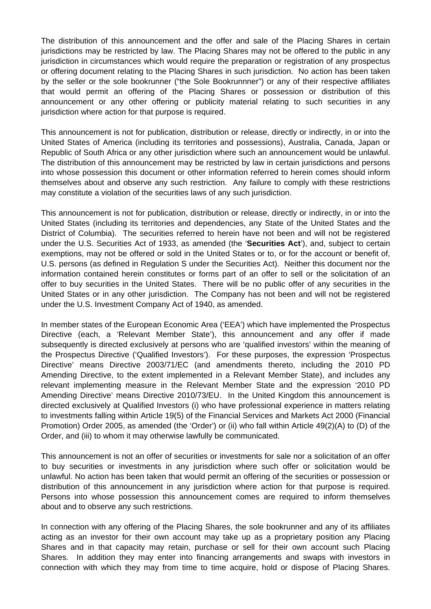The distribution of this announcement and the offer and sale of the Placing Shares in certain jurisdictions may be restricted by law. The Placing Shares may not be offered to the public in any jurisdiction in circumstances which would require the preparation or registration of any prospectus or offering document relating to the Placing Shares in such jurisdiction. No action has been taken by the seller or the sole bookrunner ("the Sole Bookrunnner") or any of their respective affiliates that would permit an offering of the Placing Shares or possession or distribution of this announcement or any other offering or publicity material relating to such securities in any jurisdiction where action for that purpose is required.

This announcement is not for publication, distribution or release, directly or indirectly, in or into the United States of America (including its territories and possessions), Australia, Canada, Japan or Republic of South Africa or any other jurisdiction where such an announcement would be unlawful. The distribution of this announcement may be restricted by law in certain jurisdictions and persons into whose possession this document or other information referred to herein comes should inform themselves about and observe any such restriction. Any failure to comply with these restrictions may constitute a violation of the securities laws of any such jurisdiction.

This announcement is not for publication, distribution or release, directly or indirectly, in or into the United States (including its territories and dependencies, any State of the United States and the District of Columbia). The securities referred to herein have not been and will not be registered under the U.S. Securities Act of 1933, as amended (the '**Securities Act**'), and, subject to certain exemptions, may not be offered or sold in the United States or to, or for the account or benefit of, U.S. persons (as defined in Regulation S under the Securities Act). Neither this document nor the information contained herein constitutes or forms part of an offer to sell or the solicitation of an offer to buy securities in the United States. There will be no public offer of any securities in the United States or in any other jurisdiction. The Company has not been and will not be registered under the U.S. Investment Company Act of 1940, as amended.

In member states of the European Economic Area ('EEA') which have implemented the Prospectus Directive (each, a 'Relevant Member State'), this announcement and any offer if made subsequently is directed exclusively at persons who are 'qualified investors' within the meaning of the Prospectus Directive ('Qualified Investors'). For these purposes, the expression 'Prospectus Directive' means Directive 2003/71/EC (and amendments thereto, including the 2010 PD Amending Directive, to the extent implemented in a Relevant Member State), and includes any relevant implementing measure in the Relevant Member State and the expression '2010 PD Amending Directive' means Directive 2010/73/EU. In the United Kingdom this announcement is directed exclusively at Qualified Investors (i) who have professional experience in matters relating to investments falling within Article 19(5) of the Financial Services and Markets Act 2000 (Financial Promotion) Order 2005, as amended (the 'Order') or (ii) who fall within Article 49(2)(A) to (D) of the Order, and (iii) to whom it may otherwise lawfully be communicated.

This announcement is not an offer of securities or investments for sale nor a solicitation of an offer to buy securities or investments in any jurisdiction where such offer or solicitation would be unlawful. No action has been taken that would permit an offering of the securities or possession or distribution of this announcement in any jurisdiction where action for that purpose is required. Persons into whose possession this announcement comes are required to inform themselves about and to observe any such restrictions.

In connection with any offering of the Placing Shares, the sole bookrunner and any of its affiliates acting as an investor for their own account may take up as a proprietary position any Placing Shares and in that capacity may retain, purchase or sell for their own account such Placing Shares. In addition they may enter into financing arrangements and swaps with investors in connection with which they may from time to time acquire, hold or dispose of Placing Shares.